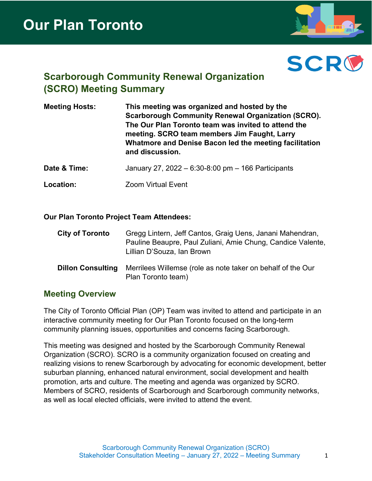



# **Scarborough Community Renewal Organization (SCRO) Meeting Summary**

| <b>Meeting Hosts:</b> | This meeting was organized and hosted by the                                                        |
|-----------------------|-----------------------------------------------------------------------------------------------------|
|                       | <b>Scarborough Community Renewal Organization (SCRO).</b>                                           |
|                       | The Our Plan Toronto team was invited to attend the<br>meeting. SCRO team members Jim Faught, Larry |
|                       | Whatmore and Denise Bacon led the meeting facilitation<br>and discussion.                           |
|                       |                                                                                                     |

**Date & Time:** January 27, 2022 – 6:30-8:00 pm – 166 Participants

**Location:** Zoom Virtual Event

#### **Our Plan Toronto Project Team Attendees:**

| <b>City of Toronto</b>   | Gregg Lintern, Jeff Cantos, Graig Uens, Janani Mahendran,<br>Pauline Beaupre, Paul Zuliani, Amie Chung, Candice Valente,<br>Lillian D'Souza, Ian Brown |
|--------------------------|--------------------------------------------------------------------------------------------------------------------------------------------------------|
| <b>Dillon Consulting</b> | Merrilees Willemse (role as note taker on behalf of the Our<br>Plan Toronto team)                                                                      |

### **Meeting Overview**

The City of Toronto Official Plan (OP) Team was invited to attend and participate in an interactive community meeting for Our Plan Toronto focused on the long-term community planning issues, opportunities and concerns facing Scarborough.

This meeting was designed and hosted by the Scarborough Community Renewal Organization (SCRO). SCRO is a community organization focused on creating and realizing visions to renew Scarborough by advocating for economic development, better suburban planning, enhanced natural environment, social development and health promotion, arts and culture. The meeting and agenda was organized by SCRO. Members of SCRO, residents of Scarborough and Scarborough community networks, as well as local elected officials, were invited to attend the event.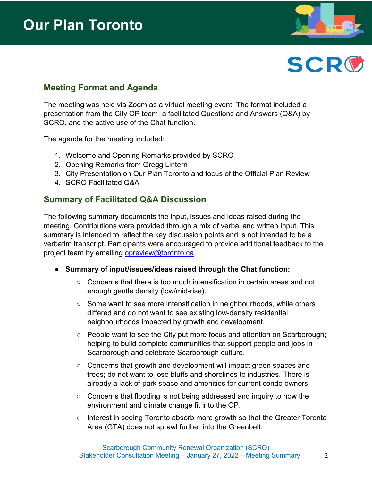



# **Meeting Format and Agenda**

The meeting was held via Zoom as a virtual meeting event. The format included a presentation from the City OP team, a facilitated Questions and Answers (Q&A) by SCRO, and the active use of the Chat function.

The agenda for the meeting included:

- 1. Welcome and Opening Remarks provided by SCRO
- 2. Opening Remarks from Gregg Lintern
- 3. City Presentation on Our Plan Toronto and focus of the Official Plan Review
- 4. SCRO Facilitated Q&A

### **Summary of Facilitated Q&A Discussion**

The following summary documents the input, issues and ideas raised during the meeting. Contributions were provided through a mix of verbal and written input. This summary is intended to reflect the key discussion points and is not intended to be a verbatim transcript. Participants were encouraged to provide additional feedback to the project team by emailing [opreview@toronto.ca.](mailto:opreview@toronto.ca)

- **Summary of input/issues/ideas raised through the Chat function:**
	- $\circ$  Concerns that there is too much intensification in certain areas and not enough gentle density (low/mid-rise).
	- Some want to see more intensification in neighbourhoods, while others differed and do not want to see existing low-density residential neighbourhoods impacted by growth and development.
	- People want to see the City put more focus and attention on Scarborough; helping to build complete communities that support people and jobs in Scarborough and celebrate Scarborough culture.
	- Concerns that growth and development will impact green spaces and trees; do not want to lose bluffs and shorelines to industries. There is already a lack of park space and amenities for current condo owners.
	- Concerns that flooding is not being addressed and inquiry to how the environment and climate change fit into the OP.
	- Interest in seeing Toronto absorb more growth so that the Greater Toronto Area (GTA) does not sprawl further into the Greenbelt.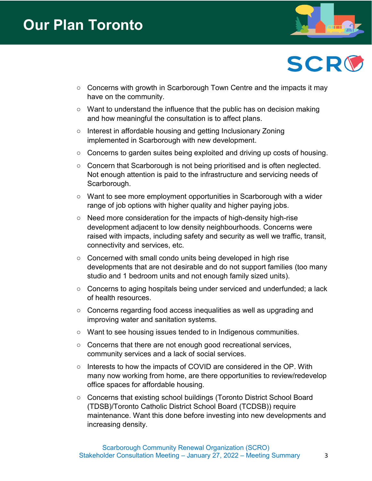



- Concerns with growth in Scarborough Town Centre and the impacts it may have on the community.
- Want to understand the influence that the public has on decision making and how meaningful the consultation is to affect plans.
- Interest in affordable housing and getting Inclusionary Zoning implemented in Scarborough with new development.
- Concerns to garden suites being exploited and driving up costs of housing.
- Concern that Scarborough is not being prioritised and is often neglected. Not enough attention is paid to the infrastructure and servicing needs of Scarborough.
- Want to see more employment opportunities in Scarborough with a wider range of job options with higher quality and higher paying jobs.
- Need more consideration for the impacts of high-density high-rise development adjacent to low density neighbourhoods. Concerns were raised with impacts, including safety and security as well we traffic, transit, connectivity and services, etc.
- Concerned with small condo units being developed in high rise developments that are not desirable and do not support families (too many studio and 1 bedroom units and not enough family sized units).
- Concerns to aging hospitals being under serviced and underfunded; a lack of health resources.
- Concerns regarding food access inequalities as well as upgrading and improving water and sanitation systems.
- Want to see housing issues tended to in Indigenous communities.
- Concerns that there are not enough good recreational services, community services and a lack of social services.
- Interests to how the impacts of COVID are considered in the OP. With many now working from home, are there opportunities to review/redevelop office spaces for affordable housing.
- Concerns that existing school buildings (Toronto District School Board (TDSB)/Toronto Catholic District School Board (TCDSB)) require maintenance. Want this done before investing into new developments and increasing density.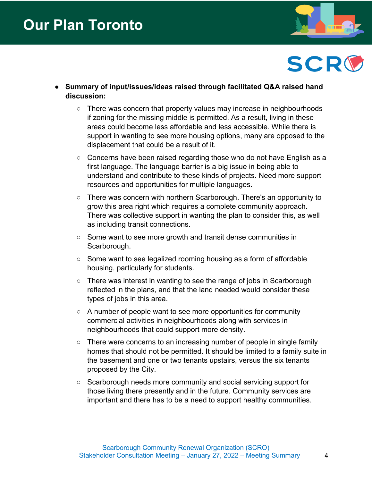



- **Summary of input/issues/ideas raised through facilitated Q&A raised hand discussion:**
	- There was concern that property values may increase in neighbourhoods if zoning for the missing middle is permitted. As a result, living in these areas could become less affordable and less accessible. While there is support in wanting to see more housing options, many are opposed to the displacement that could be a result of it.
	- Concerns have been raised regarding those who do not have English as a first language. The language barrier is a big issue in being able to understand and contribute to these kinds of projects. Need more support resources and opportunities for multiple languages.
	- There was concern with northern Scarborough. There's an opportunity to grow this area right which requires a complete community approach. There was collective support in wanting the plan to consider this, as well as including transit connections.
	- Some want to see more growth and transit dense communities in Scarborough.
	- Some want to see legalized rooming housing as a form of affordable housing, particularly for students.
	- There was interest in wanting to see the range of jobs in Scarborough reflected in the plans, and that the land needed would consider these types of jobs in this area.
	- A number of people want to see more opportunities for community commercial activities in neighbourhoods along with services in neighbourhoods that could support more density.
	- There were concerns to an increasing number of people in single family homes that should not be permitted. It should be limited to a family suite in the basement and one or two tenants upstairs, versus the six tenants proposed by the City.
	- Scarborough needs more community and social servicing support for those living there presently and in the future. Community services are important and there has to be a need to support healthy communities.